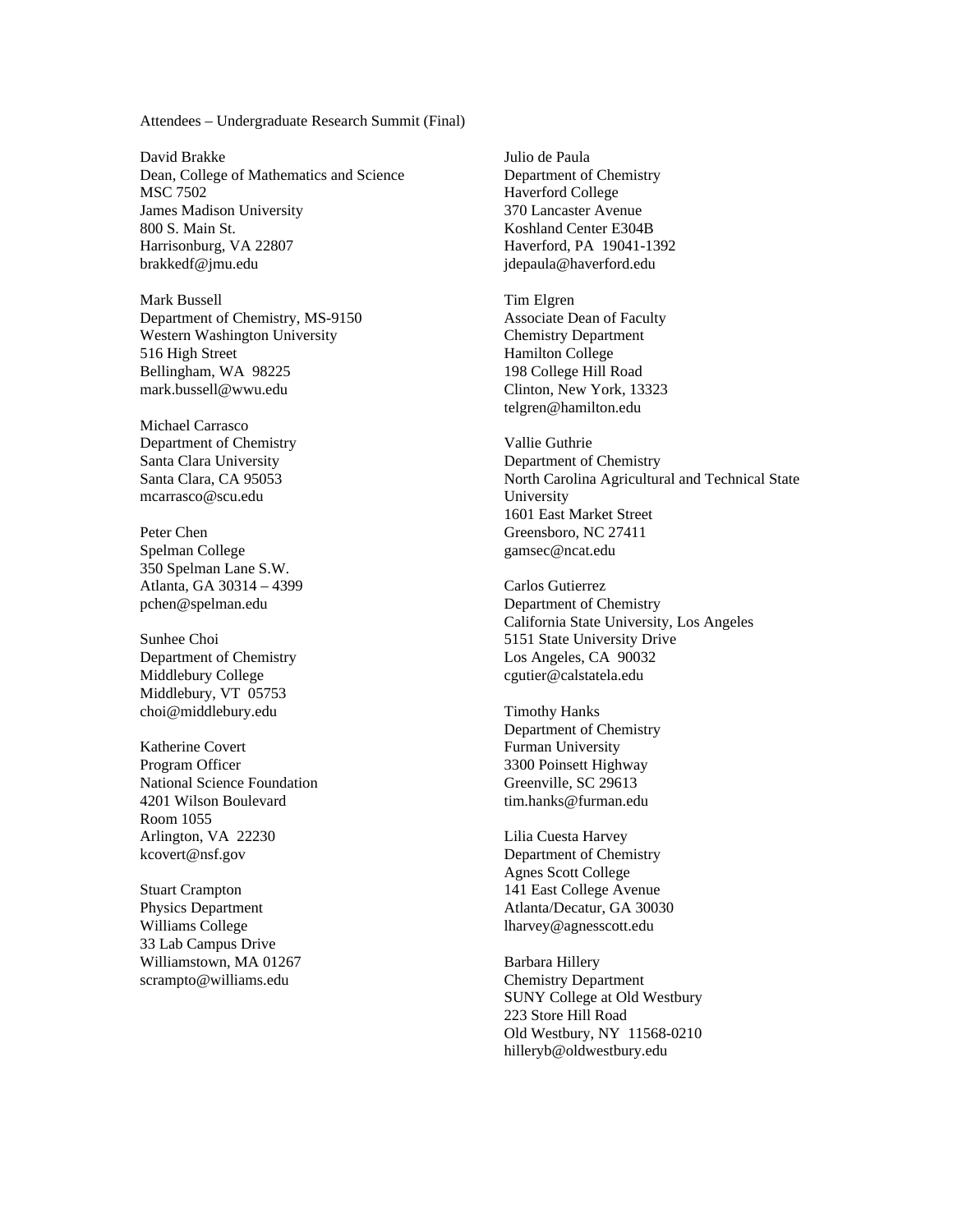Attendees – Undergraduate Research Summit (Final)

David Brakke Dean, College of Mathematics and Science MSC 7502 James Madison University 800 S. Main St. Harrisonburg, VA 22807 brakkedf@jmu.edu

Mark Bussell Department of Chemistry, MS-9150 Western Washington University 516 High Street Bellingham, WA 98225 mark.bussell@wwu.edu

Michael Carrasco Department of Chemistry Santa Clara University Santa Clara, CA 95053 mcarrasco@scu.edu

Peter Chen Spelman College 350 Spelman Lane S.W. Atlanta, GA 30314 – 4399 pchen@spelman.edu

Sunhee Choi Department of Chemistry Middlebury College Middlebury, VT 05753 choi@middlebury.edu

Katherine Covert Program Officer National Science Foundation 4201 Wilson Boulevard Room 1055 Arlington, VA 22230 kcovert@nsf.gov

Stuart Crampton Physics Department Williams College 33 Lab Campus Drive Williamstown, MA 01267 scrampto@williams.edu

Julio de Paula Department of Chemistry Haverford College 370 Lancaster Avenue Koshland Center E304B Haverford, PA 19041-1392 jdepaula@haverford.edu

Tim Elgren Associate Dean of Faculty Chemistry Department Hamilton College 198 College Hill Road Clinton, New York, 13323 telgren@hamilton.edu

Vallie Guthrie Department of Chemistry North Carolina Agricultural and Technical State University 1601 East Market Street Greensboro, NC 27411 gamsec@ncat.edu

Carlos Gutierrez Department of Chemistry California State University, Los Angeles 5151 State University Drive Los Angeles, CA 90032 cgutier@calstatela.edu

Timothy Hanks Department of Chemistry Furman University 3300 Poinsett Highway Greenville, SC 29613 tim.hanks@furman.edu

Lilia Cuesta Harvey Department of Chemistry Agnes Scott College 141 East College Avenue Atlanta/Decatur, GA 30030 lharvey@agnesscott.edu

Barbara Hillery Chemistry Department SUNY College at Old Westbury 223 Store Hill Road Old Westbury, NY 11568-0210 hilleryb@oldwestbury.edu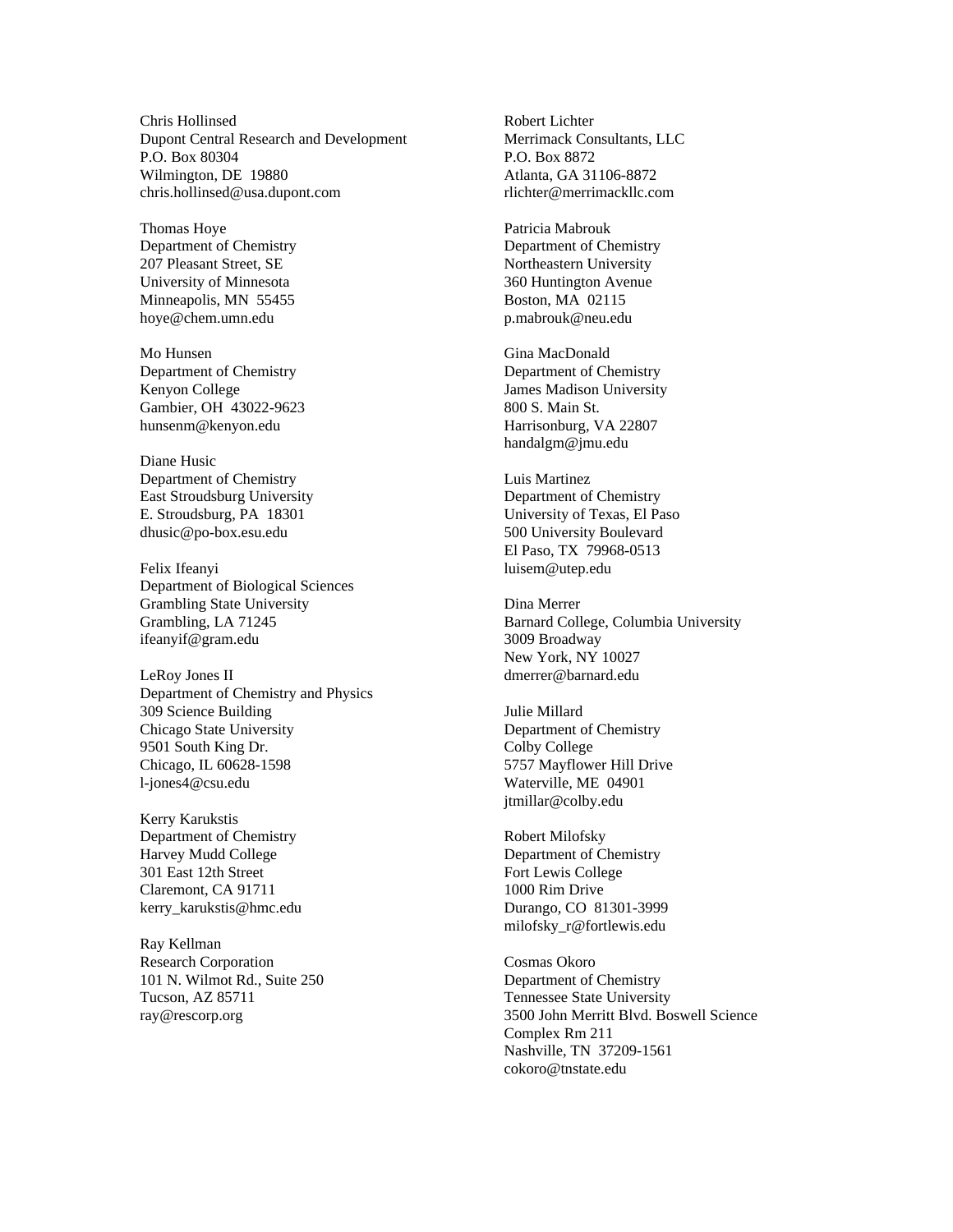Chris Hollinsed Dupont Central Research and Development P.O. Box 80304 Wilmington, DE 19880 chris.hollinsed@usa.dupont.com

Thomas Hoye Department of Chemistry 207 Pleasant Street, SE University of Minnesota Minneapolis, MN 55455 hoye@chem.umn.edu

Mo Hunsen Department of Chemistry Kenyon College Gambier, OH 43022-9623 hunsenm@kenyon.edu

Diane Husic Department of Chemistry East Stroudsburg University E. Stroudsburg, PA 18301 dhusic@po-box.esu.edu

Felix Ifeanyi Department of Biological Sciences Grambling State University Grambling, LA 71245 ifeanyif@gram.edu

LeRoy Jones II Department of Chemistry and Physics 309 Science Building Chicago State University 9501 South King Dr. Chicago, IL 60628-1598 l-jones4@csu.edu

Kerry Karukstis Department of Chemistry Harvey Mudd College 301 East 12th Street Claremont, CA 91711 kerry\_karukstis@hmc.edu

Ray Kellman Research Corporation 101 N. Wilmot Rd., Suite 250 Tucson, AZ 85711 ray@rescorp.org

Robert Lichter Merrimack Consultants, LLC P.O. Box 8872 Atlanta, GA 31106-8872 rlichter@merrimackllc.com

Patricia Mabrouk Department of Chemistry Northeastern University 360 Huntington Avenue Boston, MA 02115 p.mabrouk@neu.edu

Gina MacDonald Department of Chemistry James Madison University 800 S. Main St. Harrisonburg, VA 22807 handalgm@jmu.edu

Luis Martinez Department of Chemistry University of Texas, El Paso 500 University Boulevard El Paso, TX 79968-0513 luisem@utep.edu

Dina Merrer Barnard College, Columbia University 3009 Broadway New York, NY 10027 dmerrer@barnard.edu

Julie Millard Department of Chemistry Colby College 5757 Mayflower Hill Drive Waterville, ME 04901 jtmillar@colby.edu

Robert Milofsky Department of Chemistry Fort Lewis College 1000 Rim Drive Durango, CO 81301-3999 milofsky\_r@fortlewis.edu

Cosmas Okoro Department of Chemistry Tennessee State University 3500 John Merritt Blvd. Boswell Science Complex Rm 211 Nashville, TN 37209-1561 cokoro@tnstate.edu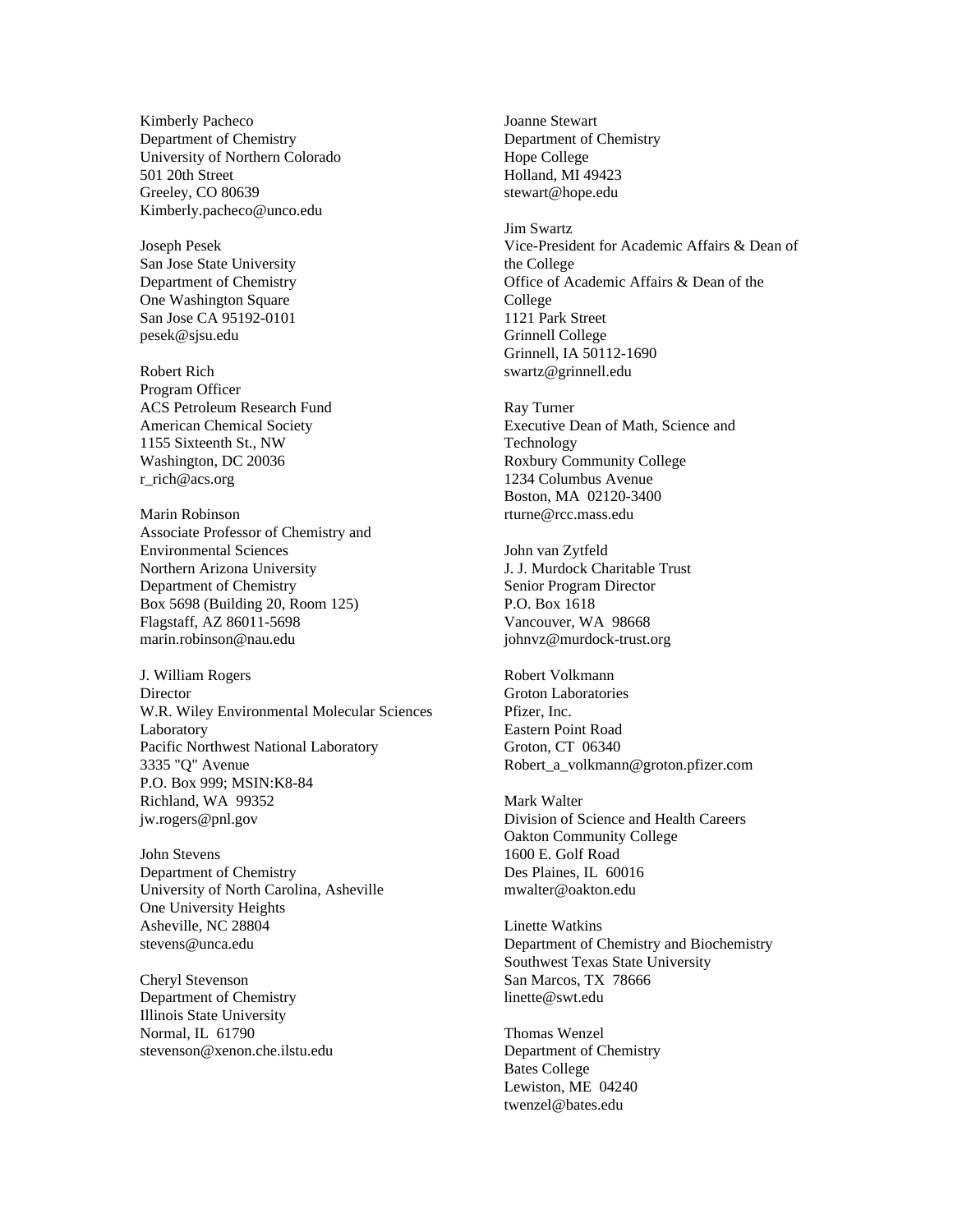Kimberly Pacheco Department of Chemistry University of Northern Colorado 501 20th Street Greeley, CO 80639 Kimberly.pacheco@unco.edu

Joseph Pesek San Jose State University Department of Chemistry One Washington Square San Jose CA 95192-0101 pesek@sjsu.edu

Robert Rich Program Officer ACS Petroleum Research Fund American Chemical Society 1155 Sixteenth St., NW Washington, DC 20036 r\_rich@acs.org

Marin Robinson Associate Professor of Chemistry and Environmental Sciences Northern Arizona University Department of Chemistry Box 5698 (Building 20, Room 125) Flagstaff, AZ 86011-5698 marin.robinson@nau.edu

J. William Rogers Director W.R. Wiley Environmental Molecular Sciences Laboratory Pacific Northwest National Laboratory 3335 "Q" Avenue P.O. Box 999; MSIN:K8-84 Richland, WA 99352 jw.rogers@pnl.gov

John Stevens Department of Chemistry University of North Carolina, Asheville One University Heights Asheville, NC 28804 stevens@unca.edu

Cheryl Stevenson Department of Chemistry Illinois State University Normal, IL 61790 stevenson@xenon.che.ilstu.edu Joanne Stewart Department of Chemistry Hope College Holland, MI 49423 stewart@hope.edu

Jim Swartz Vice-President for Academic Affairs & Dean of the College Office of Academic Affairs & Dean of the College 1121 Park Street Grinnell College Grinnell, IA 50112-1690 swartz@grinnell.edu

Ray Turner Executive Dean of Math, Science and Technology Roxbury Community College 1234 Columbus Avenue Boston, MA 02120-3400 rturne@rcc.mass.edu

John van Zytfeld J. J. Murdock Charitable Trust Senior Program Director P.O. Box 1618 Vancouver, WA 98668 johnvz@murdock-trust.org

Robert Volkmann Groton Laboratories Pfizer, Inc. Eastern Point Road Groton, CT 06340 Robert\_a\_volkmann@groton.pfizer.com

Mark Walter Division of Science and Health Careers Oakton Community College 1600 E. Golf Road Des Plaines, IL 60016 mwalter@oakton.edu

Linette Watkins Department of Chemistry and Biochemistry Southwest Texas State University San Marcos, TX 78666 linette@swt.edu

Thomas Wenzel Department of Chemistry Bates College Lewiston, ME 04240 twenzel@bates.edu